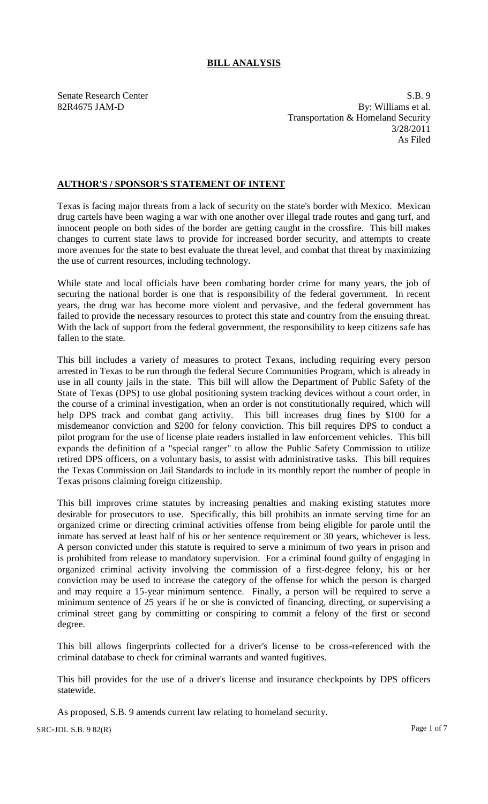## **BILL ANALYSIS**

Senate Research Center S.B. 9 82R4675 JAM-D By: Williams et al. Transportation & Homeland Security 3/28/2011 As Filed

## **AUTHOR'S / SPONSOR'S STATEMENT OF INTENT**

Texas is facing major threats from a lack of security on the state's border with Mexico. Mexican drug cartels have been waging a war with one another over illegal trade routes and gang turf, and innocent people on both sides of the border are getting caught in the crossfire. This bill makes changes to current state laws to provide for increased border security, and attempts to create more avenues for the state to best evaluate the threat level, and combat that threat by maximizing the use of current resources, including technology.

While state and local officials have been combating border crime for many years, the job of securing the national border is one that is responsibility of the federal government. In recent years, the drug war has become more violent and pervasive, and the federal government has failed to provide the necessary resources to protect this state and country from the ensuing threat. With the lack of support from the federal government, the responsibility to keep citizens safe has fallen to the state.

This bill includes a variety of measures to protect Texans, including requiring every person arrested in Texas to be run through the federal Secure Communities Program, which is already in use in all county jails in the state. This bill will allow the Department of Public Safety of the State of Texas (DPS) to use global positioning system tracking devices without a court order, in the course of a criminal investigation, when an order is not constitutionally required, which will help DPS track and combat gang activity. This bill increases drug fines by \$100 for a misdemeanor conviction and \$200 for felony conviction. This bill requires DPS to conduct a pilot program for the use of license plate readers installed in law enforcement vehicles. This bill expands the definition of a "special ranger" to allow the Public Safety Commission to utilize retired DPS officers, on a voluntary basis, to assist with administrative tasks. This bill requires the Texas Commission on Jail Standards to include in its monthly report the number of people in Texas prisons claiming foreign citizenship.

This bill improves crime statutes by increasing penalties and making existing statutes more desirable for prosecutors to use. Specifically, this bill prohibits an inmate serving time for an organized crime or directing criminal activities offense from being eligible for parole until the inmate has served at least half of his or her sentence requirement or 30 years, whichever is less. A person convicted under this statute is required to serve a minimum of two years in prison and is prohibited from release to mandatory supervision. For a criminal found guilty of engaging in organized criminal activity involving the commission of a first-degree felony, his or her conviction may be used to increase the category of the offense for which the person is charged and may require a 15-year minimum sentence. Finally, a person will be required to serve a minimum sentence of 25 years if he or she is convicted of financing, directing, or supervising a criminal street gang by committing or conspiring to commit a felony of the first or second degree.

This bill allows fingerprints collected for a driver's license to be cross-referenced with the criminal database to check for criminal warrants and wanted fugitives.

This bill provides for the use of a driver's license and insurance checkpoints by DPS officers statewide.

As proposed, S.B. 9 amends current law relating to homeland security.

SRC-JDL S.B. 9 82(R) Page 1 of 7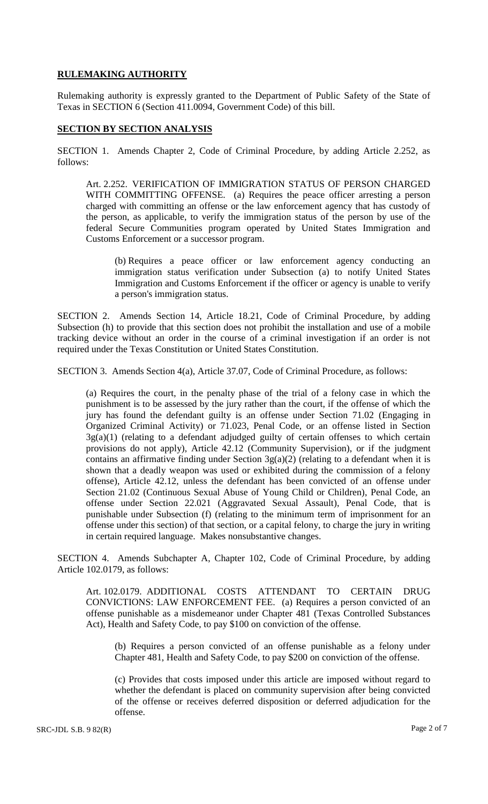## **RULEMAKING AUTHORITY**

Rulemaking authority is expressly granted to the Department of Public Safety of the State of Texas in SECTION 6 (Section 411.0094, Government Code) of this bill.

## **SECTION BY SECTION ANALYSIS**

SECTION 1. Amends Chapter 2, Code of Criminal Procedure, by adding Article 2.252, as follows:

Art. 2.252. VERIFICATION OF IMMIGRATION STATUS OF PERSON CHARGED WITH COMMITTING OFFENSE. (a) Requires the peace officer arresting a person charged with committing an offense or the law enforcement agency that has custody of the person, as applicable, to verify the immigration status of the person by use of the federal Secure Communities program operated by United States Immigration and Customs Enforcement or a successor program.

(b) Requires a peace officer or law enforcement agency conducting an immigration status verification under Subsection (a) to notify United States Immigration and Customs Enforcement if the officer or agency is unable to verify a person's immigration status.

SECTION 2. Amends Section 14, Article 18.21, Code of Criminal Procedure, by adding Subsection (h) to provide that this section does not prohibit the installation and use of a mobile tracking device without an order in the course of a criminal investigation if an order is not required under the Texas Constitution or United States Constitution.

SECTION 3. Amends Section 4(a), Article 37.07, Code of Criminal Procedure, as follows:

(a) Requires the court, in the penalty phase of the trial of a felony case in which the punishment is to be assessed by the jury rather than the court, if the offense of which the jury has found the defendant guilty is an offense under Section 71.02 (Engaging in Organized Criminal Activity) or 71.023, Penal Code, or an offense listed in Section  $3g(a)(1)$  (relating to a defendant adjudged guilty of certain offenses to which certain provisions do not apply), Article 42.12 (Community Supervision), or if the judgment contains an affirmative finding under Section  $3g(a)(2)$  (relating to a defendant when it is shown that a deadly weapon was used or exhibited during the commission of a felony offense), Article 42.12, unless the defendant has been convicted of an offense under Section 21.02 (Continuous Sexual Abuse of Young Child or Children), Penal Code, an offense under Section 22.021 (Aggravated Sexual Assault), Penal Code, that is punishable under Subsection (f) (relating to the minimum term of imprisonment for an offense under this section) of that section, or a capital felony, to charge the jury in writing in certain required language. Makes nonsubstantive changes.

SECTION 4. Amends Subchapter A, Chapter 102, Code of Criminal Procedure, by adding Article 102.0179, as follows:

Art. 102.0179. ADDITIONAL COSTS ATTENDANT TO CERTAIN DRUG CONVICTIONS: LAW ENFORCEMENT FEE. (a) Requires a person convicted of an offense punishable as a misdemeanor under Chapter 481 (Texas Controlled Substances Act), Health and Safety Code, to pay \$100 on conviction of the offense.

(b) Requires a person convicted of an offense punishable as a felony under Chapter 481, Health and Safety Code, to pay \$200 on conviction of the offense.

(c) Provides that costs imposed under this article are imposed without regard to whether the defendant is placed on community supervision after being convicted of the offense or receives deferred disposition or deferred adjudication for the offense.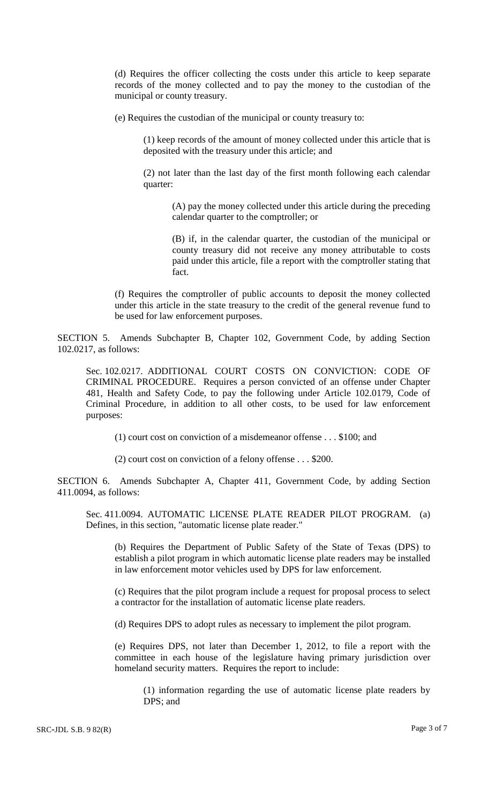(d) Requires the officer collecting the costs under this article to keep separate records of the money collected and to pay the money to the custodian of the municipal or county treasury.

(e) Requires the custodian of the municipal or county treasury to:

(1) keep records of the amount of money collected under this article that is deposited with the treasury under this article; and

(2) not later than the last day of the first month following each calendar quarter:

(A) pay the money collected under this article during the preceding calendar quarter to the comptroller; or

(B) if, in the calendar quarter, the custodian of the municipal or county treasury did not receive any money attributable to costs paid under this article, file a report with the comptroller stating that fact.

(f) Requires the comptroller of public accounts to deposit the money collected under this article in the state treasury to the credit of the general revenue fund to be used for law enforcement purposes.

SECTION 5. Amends Subchapter B, Chapter 102, Government Code, by adding Section 102.0217, as follows:

Sec. 102.0217. ADDITIONAL COURT COSTS ON CONVICTION: CODE OF CRIMINAL PROCEDURE. Requires a person convicted of an offense under Chapter 481, Health and Safety Code, to pay the following under Article 102.0179, Code of Criminal Procedure, in addition to all other costs, to be used for law enforcement purposes:

(1) court cost on conviction of a misdemeanor offense . . . \$100; and

(2) court cost on conviction of a felony offense . . . \$200.

SECTION 6. Amends Subchapter A, Chapter 411, Government Code, by adding Section 411.0094, as follows:

Sec. 411.0094. AUTOMATIC LICENSE PLATE READER PILOT PROGRAM. (a) Defines, in this section, "automatic license plate reader."

(b) Requires the Department of Public Safety of the State of Texas (DPS) to establish a pilot program in which automatic license plate readers may be installed in law enforcement motor vehicles used by DPS for law enforcement.

(c) Requires that the pilot program include a request for proposal process to select a contractor for the installation of automatic license plate readers.

(d) Requires DPS to adopt rules as necessary to implement the pilot program.

(e) Requires DPS, not later than December 1, 2012, to file a report with the committee in each house of the legislature having primary jurisdiction over homeland security matters. Requires the report to include:

(1) information regarding the use of automatic license plate readers by DPS; and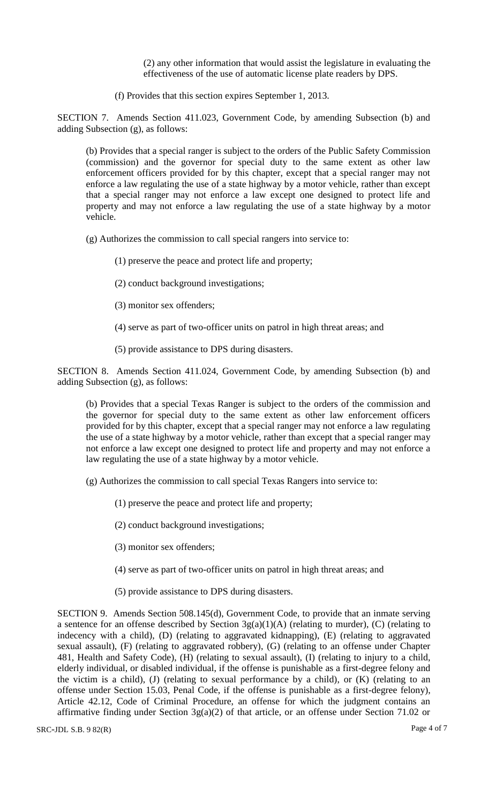(2) any other information that would assist the legislature in evaluating the effectiveness of the use of automatic license plate readers by DPS.

(f) Provides that this section expires September 1, 2013.

SECTION 7. Amends Section 411.023, Government Code, by amending Subsection (b) and adding Subsection (g), as follows:

(b) Provides that a special ranger is subject to the orders of the Public Safety Commission (commission) and the governor for special duty to the same extent as other law enforcement officers provided for by this chapter, except that a special ranger may not enforce a law regulating the use of a state highway by a motor vehicle, rather than except that a special ranger may not enforce a law except one designed to protect life and property and may not enforce a law regulating the use of a state highway by a motor vehicle.

(g) Authorizes the commission to call special rangers into service to:

- (1) preserve the peace and protect life and property;
- (2) conduct background investigations;
- (3) monitor sex offenders;
- (4) serve as part of two-officer units on patrol in high threat areas; and
- (5) provide assistance to DPS during disasters.

SECTION 8. Amends Section 411.024, Government Code, by amending Subsection (b) and adding Subsection (g), as follows:

(b) Provides that a special Texas Ranger is subject to the orders of the commission and the governor for special duty to the same extent as other law enforcement officers provided for by this chapter, except that a special ranger may not enforce a law regulating the use of a state highway by a motor vehicle, rather than except that a special ranger may not enforce a law except one designed to protect life and property and may not enforce a law regulating the use of a state highway by a motor vehicle.

(g) Authorizes the commission to call special Texas Rangers into service to:

- (1) preserve the peace and protect life and property;
- (2) conduct background investigations;
- (3) monitor sex offenders;
- (4) serve as part of two-officer units on patrol in high threat areas; and
- (5) provide assistance to DPS during disasters.

SECTION 9. Amends Section 508.145(d), Government Code, to provide that an inmate serving a sentence for an offense described by Section  $3g(a)(1)(A)$  (relating to murder), (C) (relating to indecency with a child), (D) (relating to aggravated kidnapping), (E) (relating to aggravated sexual assault), (F) (relating to aggravated robbery), (G) (relating to an offense under Chapter 481, Health and Safety Code), (H) (relating to sexual assault), (I) (relating to injury to a child, elderly individual, or disabled individual, if the offense is punishable as a first-degree felony and the victim is a child), (J) (relating to sexual performance by a child), or (K) (relating to an offense under Section 15.03, Penal Code, if the offense is punishable as a first-degree felony), Article 42.12, Code of Criminal Procedure, an offense for which the judgment contains an affirmative finding under Section 3g(a)(2) of that article, or an offense under Section 71.02 or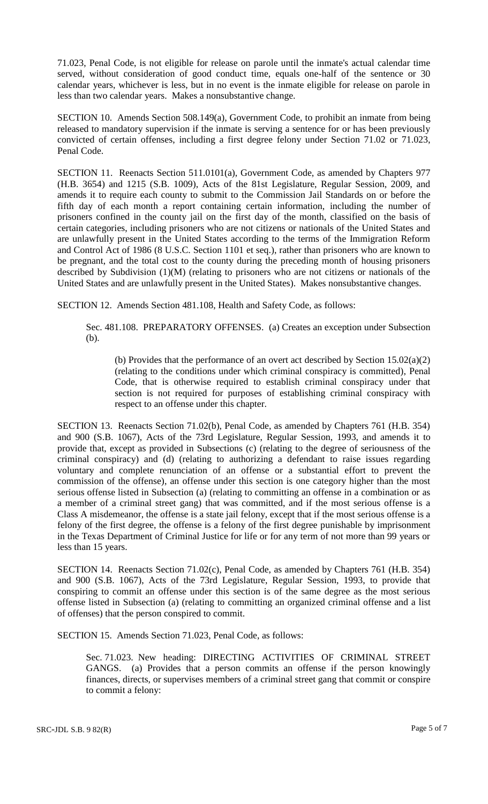71.023, Penal Code, is not eligible for release on parole until the inmate's actual calendar time served, without consideration of good conduct time, equals one-half of the sentence or 30 calendar years, whichever is less, but in no event is the inmate eligible for release on parole in less than two calendar years. Makes a nonsubstantive change.

SECTION 10. Amends Section 508.149(a), Government Code, to prohibit an inmate from being released to mandatory supervision if the inmate is serving a sentence for or has been previously convicted of certain offenses, including a first degree felony under Section 71.02 or 71.023, Penal Code.

SECTION 11. Reenacts Section 511.0101(a), Government Code, as amended by Chapters 977 (H.B. 3654) and 1215 (S.B. 1009), Acts of the 81st Legislature, Regular Session, 2009, and amends it to require each county to submit to the Commission Jail Standards on or before the fifth day of each month a report containing certain information, including the number of prisoners confined in the county jail on the first day of the month, classified on the basis of certain categories, including prisoners who are not citizens or nationals of the United States and are unlawfully present in the United States according to the terms of the Immigration Reform and Control Act of 1986 (8 U.S.C. Section 1101 et seq.), rather than prisoners who are known to be pregnant, and the total cost to the county during the preceding month of housing prisoners described by Subdivision (1)(M) (relating to prisoners who are not citizens or nationals of the United States and are unlawfully present in the United States). Makes nonsubstantive changes.

SECTION 12. Amends Section 481.108, Health and Safety Code, as follows:

Sec. 481.108. PREPARATORY OFFENSES. (a) Creates an exception under Subsection (b).

(b) Provides that the performance of an overt act described by Section 15.02(a)(2) (relating to the conditions under which criminal conspiracy is committed), Penal Code, that is otherwise required to establish criminal conspiracy under that section is not required for purposes of establishing criminal conspiracy with respect to an offense under this chapter.

SECTION 13. Reenacts Section 71.02(b), Penal Code, as amended by Chapters 761 (H.B. 354) and 900 (S.B. 1067), Acts of the 73rd Legislature, Regular Session, 1993, and amends it to provide that, except as provided in Subsections (c) (relating to the degree of seriousness of the criminal conspiracy) and (d) (relating to authorizing a defendant to raise issues regarding voluntary and complete renunciation of an offense or a substantial effort to prevent the commission of the offense), an offense under this section is one category higher than the most serious offense listed in Subsection (a) (relating to committing an offense in a combination or as a member of a criminal street gang) that was committed, and if the most serious offense is a Class A misdemeanor, the offense is a state jail felony, except that if the most serious offense is a felony of the first degree, the offense is a felony of the first degree punishable by imprisonment in the Texas Department of Criminal Justice for life or for any term of not more than 99 years or less than 15 years.

SECTION 14. Reenacts Section 71.02(c), Penal Code, as amended by Chapters 761 (H.B. 354) and 900 (S.B. 1067), Acts of the 73rd Legislature, Regular Session, 1993, to provide that conspiring to commit an offense under this section is of the same degree as the most serious offense listed in Subsection (a) (relating to committing an organized criminal offense and a list of offenses) that the person conspired to commit.

SECTION 15. Amends Section 71.023, Penal Code, as follows:

Sec. 71.023. New heading: DIRECTING ACTIVITIES OF CRIMINAL STREET GANGS. (a) Provides that a person commits an offense if the person knowingly finances, directs, or supervises members of a criminal street gang that commit or conspire to commit a felony: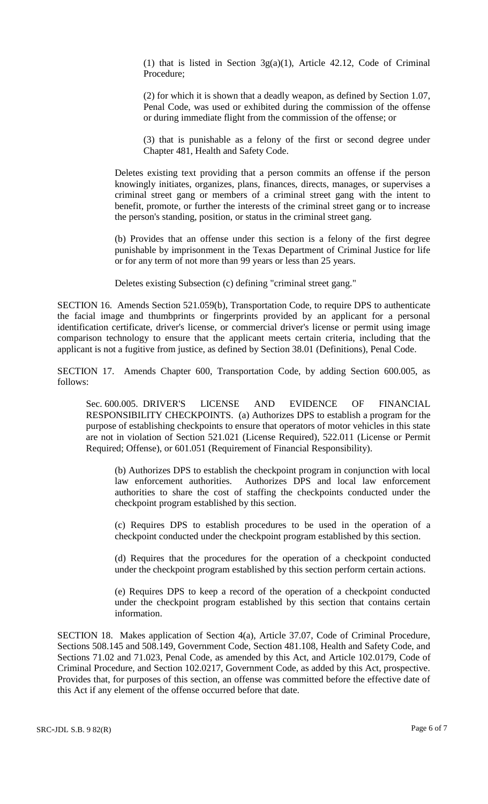(1) that is listed in Section 3g(a)(1), Article 42.12, Code of Criminal Procedure;

(2) for which it is shown that a deadly weapon, as defined by Section 1.07, Penal Code, was used or exhibited during the commission of the offense or during immediate flight from the commission of the offense; or

(3) that is punishable as a felony of the first or second degree under Chapter 481, Health and Safety Code.

Deletes existing text providing that a person commits an offense if the person knowingly initiates, organizes, plans, finances, directs, manages, or supervises a criminal street gang or members of a criminal street gang with the intent to benefit, promote, or further the interests of the criminal street gang or to increase the person's standing, position, or status in the criminal street gang.

(b) Provides that an offense under this section is a felony of the first degree punishable by imprisonment in the Texas Department of Criminal Justice for life or for any term of not more than 99 years or less than 25 years.

Deletes existing Subsection (c) defining "criminal street gang."

SECTION 16. Amends Section 521.059(b), Transportation Code, to require DPS to authenticate the facial image and thumbprints or fingerprints provided by an applicant for a personal identification certificate, driver's license, or commercial driver's license or permit using image comparison technology to ensure that the applicant meets certain criteria, including that the applicant is not a fugitive from justice, as defined by Section 38.01 (Definitions), Penal Code.

SECTION 17. Amends Chapter 600, Transportation Code, by adding Section 600.005, as follows:

Sec. 600.005. DRIVER'S LICENSE AND EVIDENCE OF FINANCIAL RESPONSIBILITY CHECKPOINTS. (a) Authorizes DPS to establish a program for the purpose of establishing checkpoints to ensure that operators of motor vehicles in this state are not in violation of Section 521.021 (License Required), 522.011 (License or Permit Required; Offense), or 601.051 (Requirement of Financial Responsibility).

(b) Authorizes DPS to establish the checkpoint program in conjunction with local law enforcement authorities. Authorizes DPS and local law enforcement authorities to share the cost of staffing the checkpoints conducted under the checkpoint program established by this section.

(c) Requires DPS to establish procedures to be used in the operation of a checkpoint conducted under the checkpoint program established by this section.

(d) Requires that the procedures for the operation of a checkpoint conducted under the checkpoint program established by this section perform certain actions.

(e) Requires DPS to keep a record of the operation of a checkpoint conducted under the checkpoint program established by this section that contains certain information.

SECTION 18. Makes application of Section 4(a), Article 37.07, Code of Criminal Procedure, Sections 508.145 and 508.149, Government Code, Section 481.108, Health and Safety Code, and Sections 71.02 and 71.023, Penal Code, as amended by this Act, and Article 102.0179, Code of Criminal Procedure, and Section 102.0217, Government Code, as added by this Act, prospective. Provides that, for purposes of this section, an offense was committed before the effective date of this Act if any element of the offense occurred before that date.